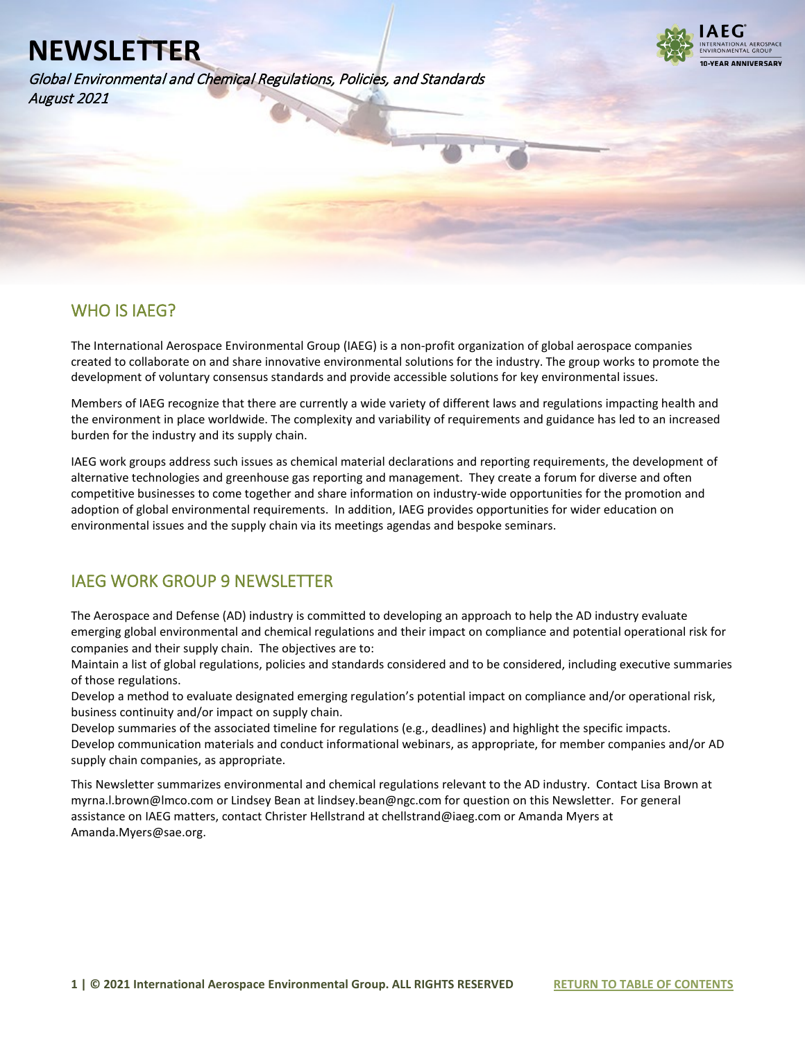Global Environmental and Chemical Regulations, Policies, and Standards August 2021



### WHO IS IAEG?

l

The International Aerospace Environmental Group (IAEG) is a non-profit organization of global aerospace companies created to collaborate on and share innovative environmental solutions for the industry. The group works to promote the development of voluntary consensus standards and provide accessible solutions for key environmental issues.

Members of IAEG recognize that there are currently a wide variety of different laws and regulations impacting health and the environment in place worldwide. The complexity and variability of requirements and guidance has led to an increased burden for the industry and its supply chain.

IAEG work groups address such issues as chemical material declarations and reporting requirements, the development of alternative technologies and greenhouse gas reporting and management. They create a forum for diverse and often competitive businesses to come together and share information on industry-wide opportunities for the promotion and adoption of global environmental requirements. In addition, IAEG provides opportunities for wider education on environmental issues and the supply chain via its meetings agendas and bespoke seminars.

### IAEG WORK GROUP 9 NEWSLETTER

The Aerospace and Defense (AD) industry is committed to developing an approach to help the AD industry evaluate emerging global environmental and chemical regulations and their impact on compliance and potential operational risk for companies and their supply chain. The objectives are to:

Maintain a list of global regulations, policies and standards considered and to be considered, including executive summaries of those regulations.

Develop a method to evaluate designated emerging regulation's potential impact on compliance and/or operational risk, business continuity and/or impact on supply chain.

Develop summaries of the associated timeline for regulations (e.g., deadlines) and highlight the specific impacts. Develop communication materials and conduct informational webinars, as appropriate, for member companies and/or AD supply chain companies, as appropriate.

This Newsletter summarizes environmental and chemical regulations relevant to the AD industry. Contact Lisa Brown at myrna.l.brown@lmco.com or Lindsey Bean at lindsey.bean@ngc.com for question on this Newsletter. For general assistance on IAEG matters, contact Christer Hellstrand at chellstrand@iaeg.com or Amanda Myers at Amanda.Myers@sae.org.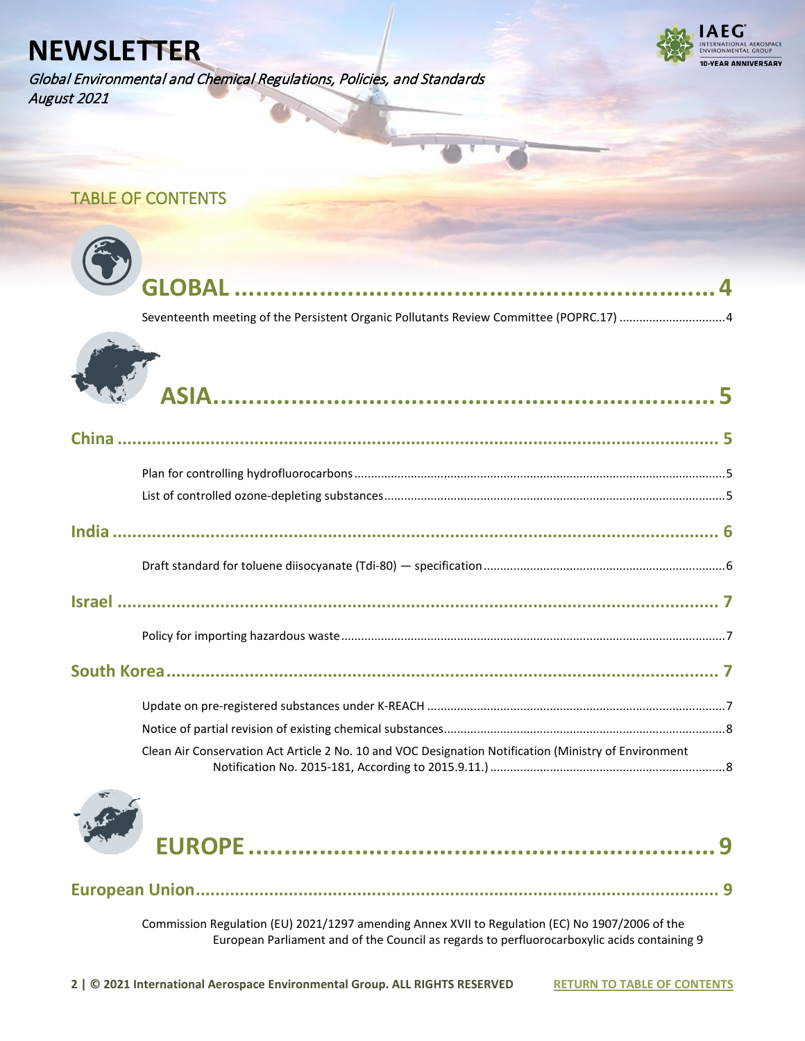Global Environmental and Chemical Regulations, Policies, and Standards August 2021



### <span id="page-1-0"></span>TABLE OF CONTENTS

| Seventeenth meeting of the Persistent Organic Pollutants Review Committee (POPRC.17) 4                |
|-------------------------------------------------------------------------------------------------------|
|                                                                                                       |
|                                                                                                       |
|                                                                                                       |
|                                                                                                       |
|                                                                                                       |
|                                                                                                       |
|                                                                                                       |
|                                                                                                       |
|                                                                                                       |
|                                                                                                       |
|                                                                                                       |
| Clean Air Conservation Act Article 2 No. 10 and VOC Designation Notification (Ministry of Environment |



[Commission Regulation \(EU\) 2021/1297 amending Annex XVII to Regulation \(EC\) No 1907/2006 of the](#page-8-2)  [European Parliament and of the Council as regards to perfluorocarboxylic acids containing 9](#page-8-2) 

**[European Union........................................................................................................... 9](#page-8-1)**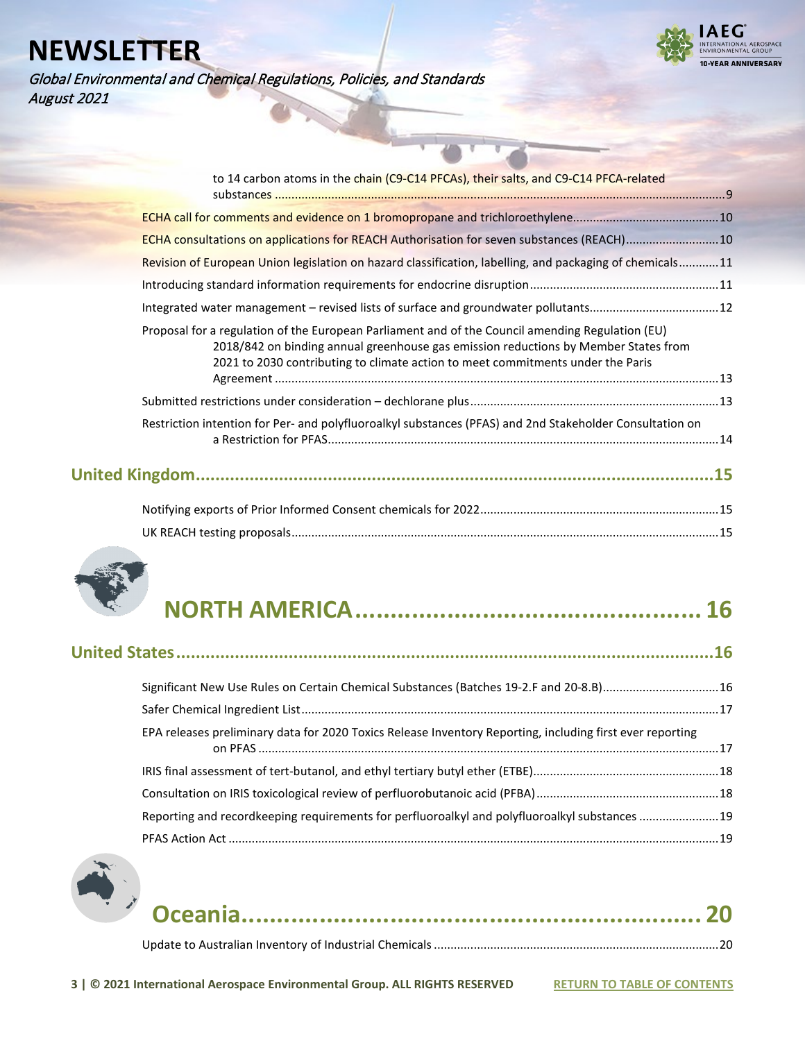

Global Environmental and Chemical Regulations, Policies, and Standards August 2021

| to 14 carbon atoms in the chain (C9-C14 PFCAs), their salts, and C9-C14 PFCA-related                                                                                                                                                                                       |     |
|----------------------------------------------------------------------------------------------------------------------------------------------------------------------------------------------------------------------------------------------------------------------------|-----|
|                                                                                                                                                                                                                                                                            |     |
|                                                                                                                                                                                                                                                                            |     |
| ECHA consultations on applications for REACH Authorisation for seven substances (REACH)10                                                                                                                                                                                  |     |
| Revision of European Union legislation on hazard classification, labelling, and packaging of chemicals11                                                                                                                                                                   |     |
|                                                                                                                                                                                                                                                                            |     |
| Integrated water management - revised lists of surface and groundwater pollutants12                                                                                                                                                                                        |     |
| Proposal for a regulation of the European Parliament and of the Council amending Regulation (EU)<br>2018/842 on binding annual greenhouse gas emission reductions by Member States from<br>2021 to 2030 contributing to climate action to meet commitments under the Paris |     |
|                                                                                                                                                                                                                                                                            |     |
| Restriction intention for Per- and polyfluoroalkyl substances (PFAS) and 2nd Stakeholder Consultation on                                                                                                                                                                   |     |
|                                                                                                                                                                                                                                                                            | .15 |
|                                                                                                                                                                                                                                                                            |     |



|--|--|

[UK REACH testing proposals................................................................................................................................. 15](#page-14-2)

| Significant New Use Rules on Certain Chemical Substances (Batches 19-2.F and 20-8.B)16                    |  |
|-----------------------------------------------------------------------------------------------------------|--|
|                                                                                                           |  |
| EPA releases preliminary data for 2020 Toxics Release Inventory Reporting, including first ever reporting |  |
|                                                                                                           |  |
|                                                                                                           |  |
| Reporting and recordkeeping requirements for perfluoroalkyl and polyfluoroalkyl substances 19             |  |
|                                                                                                           |  |

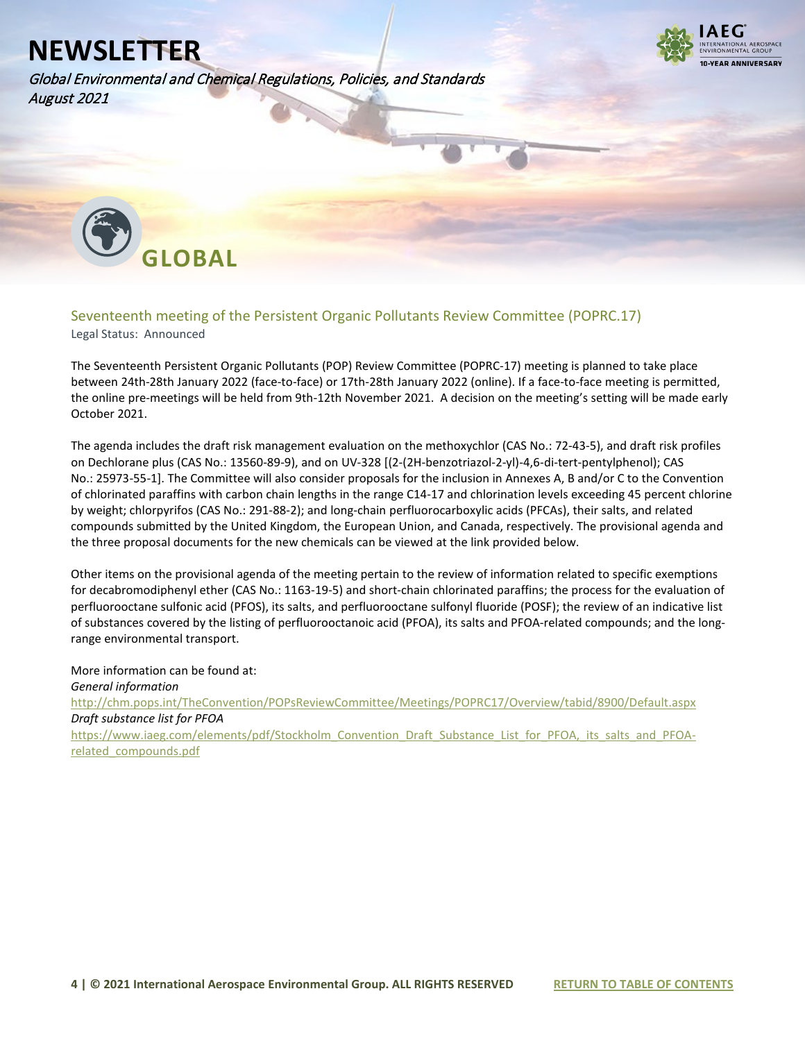Global Environmental and Chemical Regulations, Policies, and Standards August 2021



<span id="page-3-0"></span>

### <span id="page-3-1"></span>Seventeenth meeting of the Persistent Organic Pollutants Review Committee (POPRC.17)

Legal Status: Announced

The Seventeenth Persistent Organic Pollutants (POP) Review Committee (POPRC-17) meeting is planned to take place between 24th-28th January 2022 (face-to-face) or 17th-28th January 2022 (online). If a face-to-face meeting is permitted, the online pre-meetings will be held from 9th-12th November 2021. A decision on the meeting's setting will be made early October 2021.

The agenda includes the draft risk management evaluation on the methoxychlor (CAS No.: 72-43-5), and draft risk profiles on Dechlorane plus (CAS No.: 13560-89-9), and on UV-328 [(2-(2H-benzotriazol-2-yl)-4,6-di-tert-pentylphenol); CAS No.: 25973-55-1]. The Committee will also consider proposals for the inclusion in Annexes A, B and/or C to the Convention of chlorinated paraffins with carbon chain lengths in the range C14-17 and chlorination levels exceeding 45 percent chlorine by weight; chlorpyrifos (CAS No.: 291-88-2); and long-chain perfluorocarboxylic acids (PFCAs), their salts, and related compounds submitted by the United Kingdom, the European Union, and Canada, respectively. The provisional agenda and the three proposal documents for the new chemicals can be viewed at the link provided below.

Other items on the provisional agenda of the meeting pertain to the review of information related to specific exemptions for decabromodiphenyl ether (CAS No.: 1163-19-5) and short-chain chlorinated paraffins; the process for the evaluation of perfluorooctane sulfonic acid (PFOS), its salts, and perfluorooctane sulfonyl fluoride (POSF); the review of an indicative list of substances covered by the listing of perfluorooctanoic acid (PFOA), its salts and PFOA-related compounds; and the longrange environmental transport.

More information can be found at: *General information* <http://chm.pops.int/TheConvention/POPsReviewCommittee/Meetings/POPRC17/Overview/tabid/8900/Default.aspx> *Draft substance list for PFOA* [https://www.iaeg.com/elements/pdf/Stockholm\\_Convention\\_Draft\\_Substance\\_List\\_for\\_PFOA,\\_its\\_salts\\_and\\_PFOA](https://www.iaeg.com/elements/pdf/Stockholm_Convention_Draft_Substance_List_for_PFOA,_its_salts_and_PFOA-related_compounds.pdf)[related\\_compounds.pdf](https://www.iaeg.com/elements/pdf/Stockholm_Convention_Draft_Substance_List_for_PFOA,_its_salts_and_PFOA-related_compounds.pdf)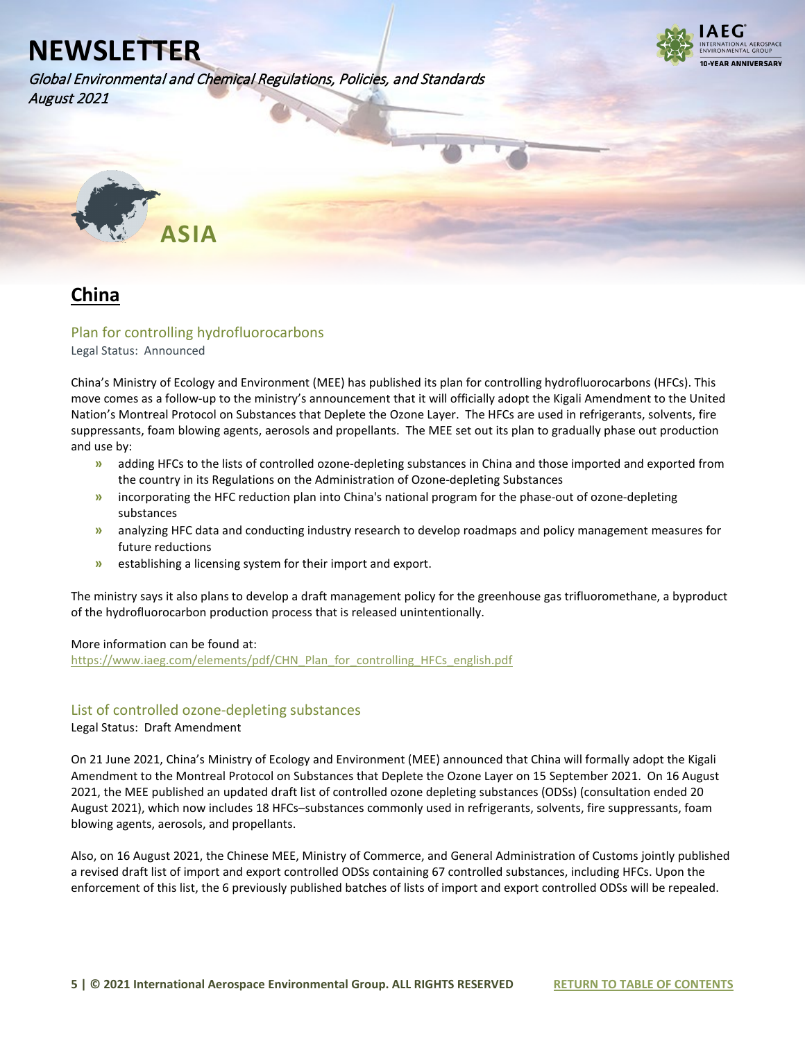

Global Environmental and Chemical Regulations, Policies, and Standards August 2021

<span id="page-4-0"></span>

### <span id="page-4-1"></span>**China**

### <span id="page-4-2"></span>Plan for controlling hydrofluorocarbons

Legal Status: Announced

China's Ministry of Ecology and Environment (MEE) has published its plan for controlling hydrofluorocarbons (HFCs). This move comes as a follow-up to the ministry's announcement that it will officially adopt the Kigali Amendment to the United Nation's Montreal Protocol on Substances that Deplete the Ozone Layer. The HFCs are used in refrigerants, solvents, fire suppressants, foam blowing agents, aerosols and propellants. The MEE set out its plan to gradually phase out production and use by:

- **»** adding HFCs to the lists of controlled ozone-depleting substances in China and those imported and exported from the country in its Regulations on the Administration of Ozone-depleting Substances
- **»** incorporating the HFC reduction plan into China's national program for the phase-out of ozone-depleting substances
- **»** analyzing HFC data and conducting industry research to develop roadmaps and policy management measures for future reductions
- **»** establishing a licensing system for their import and export.

The ministry says it also plans to develop a draft management policy for the greenhouse gas trifluoromethane, a byproduct of the hydrofluorocarbon production process that is released unintentionally.

#### More information can be found at:

[https://www.iaeg.com/elements/pdf/CHN\\_Plan\\_for\\_controlling\\_HFCs\\_english.pdf](https://www.iaeg.com/elements/pdf/CHN_Plan_for_controlling_HFCs_english.pdf)

#### <span id="page-4-3"></span>List of controlled ozone-depleting substances

#### Legal Status: Draft Amendment

On 21 June 2021, China's Ministry of Ecology and Environment (MEE) announced that China will formally adopt the Kigali Amendment to the Montreal Protocol on Substances that Deplete the Ozone Layer on 15 September 2021. On 16 August 2021, the MEE published an updated draft list of controlled ozone depleting substances (ODSs) (consultation ended 20 August 2021), which now includes 18 HFCs–substances commonly used in refrigerants, solvents, fire suppressants, foam blowing agents, aerosols, and propellants.

Also, on 16 August 2021, the Chinese MEE, Ministry of Commerce, and General Administration of Customs jointly published a revised draft list of import and export controlled ODSs containing 67 controlled substances, including HFCs. Upon the enforcement of this list, the 6 previously published batches of lists of import and export controlled ODSs will be repealed.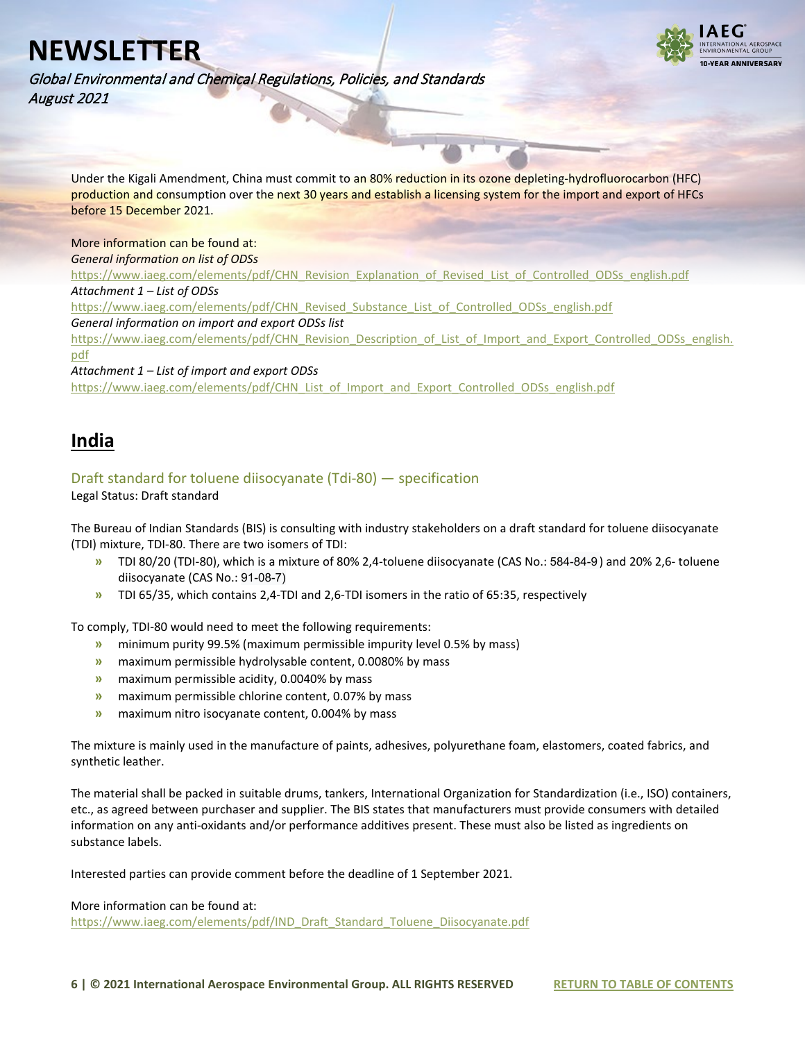

Global Environmental and Chemical Regulations, Policies, and Standards August 2021

Under the Kigali Amendment, China must commit to an 80% reduction in its ozone depleting-hydrofluorocarbon (HFC) production and consumption over the next 30 years and establish a licensing system for the import and export of HFCs before 15 December 2021.

More information can be found at: *General information on list of ODSs*

[https://www.iaeg.com/elements/pdf/CHN\\_Revision\\_Explanation\\_of\\_Revised\\_List\\_of\\_Controlled\\_ODSs\\_english.pdf](https://www.iaeg.com/elements/pdf/CHN_Revision_Explanation_of_Revised_List_of_Controlled_ODSs_english.pdf)

*Attachment 1 – List of ODSs*

[https://www.iaeg.com/elements/pdf/CHN\\_Revised\\_Substance\\_List\\_of\\_Controlled\\_ODSs\\_english.pdf](https://www.iaeg.com/elements/pdf/CHN_Revised_Substance_List_of_Controlled_ODSs_english.pdf)

*General information on import and export ODSs list*

[https://www.iaeg.com/elements/pdf/CHN\\_Revision\\_Description\\_of\\_List\\_of\\_Import\\_and\\_Export\\_Controlled\\_ODSs\\_english.](https://www.iaeg.com/elements/pdf/CHN_Revision_Description_of_List_of_Import_and_Export_Controlled_ODSs_english.pdf) [pdf](https://www.iaeg.com/elements/pdf/CHN_Revision_Description_of_List_of_Import_and_Export_Controlled_ODSs_english.pdf)

*Attachment 1 – List of import and export ODSs*

[https://www.iaeg.com/elements/pdf/CHN\\_List\\_of\\_Import\\_and\\_Export\\_Controlled\\_ODSs\\_english.pdf](https://www.iaeg.com/elements/pdf/CHN_List_of_Import_and_Export_Controlled_ODSs_english.pdf)

### <span id="page-5-0"></span>**India**

#### <span id="page-5-1"></span>Draft standard for toluene diisocyanate (Tdi-80) — specification

#### Legal Status: Draft standard

The Bureau of Indian Standards (BIS) is consulting with industry stakeholders on a draft standard for toluene diisocyanate (TDI) mixture, TDI-80. There are two isomers of TDI:

- **»** TDI 80/20 (TDI-80), which is a mixture of 80% 2,4-toluene diisocyanate (CAS No.: 584-84-9 ) and 20% 2,6- toluene diisocyanate (CAS No.: 91-08-7)
- **»** TDI 65/35, which contains 2,4-TDI and 2,6-TDI isomers in the ratio of 65:35, respectively

To comply, TDI-80 would need to meet the following requirements:

- **»** minimum purity 99.5% (maximum permissible impurity level 0.5% by mass)
- **»** maximum permissible hydrolysable content, 0.0080% by mass
- **»** maximum permissible acidity, 0.0040% by mass
- **»** maximum permissible chlorine content, 0.07% by mass
- **»** maximum nitro isocyanate content, 0.004% by mass

The mixture is mainly used in the manufacture of paints, adhesives, polyurethane foam, elastomers, coated fabrics, and synthetic leather.

The material shall be packed in suitable drums, tankers, International Organization for Standardization (i.e., ISO) containers, etc., as agreed between purchaser and supplier. The BIS states that manufacturers must provide consumers with detailed information on any anti-oxidants and/or performance additives present. These must also be listed as ingredients on substance labels.

Interested parties can provide comment before the deadline of 1 September 2021.

More information can be found at:

[https://www.iaeg.com/elements/pdf/IND\\_Draft\\_Standard\\_Toluene\\_Diisocyanate.pdf](https://www.iaeg.com/elements/pdf/IND_Draft_Standard_Toluene_Diisocyanate.pdf)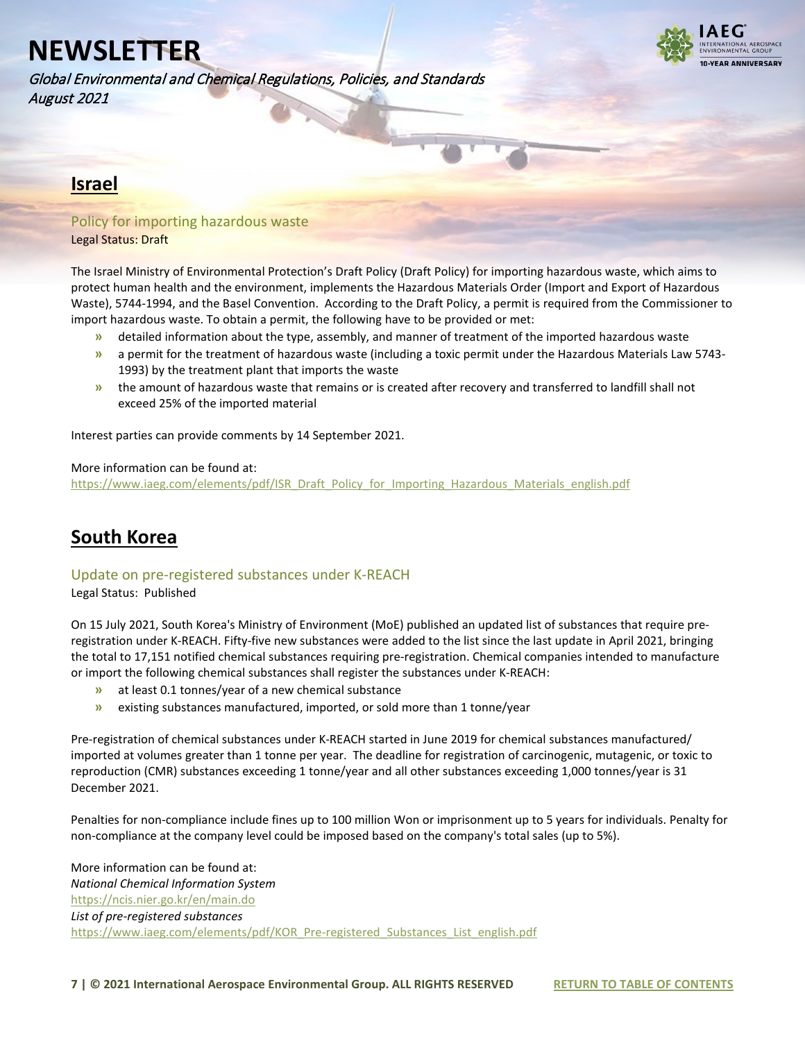

Global Environmental and Chemical Regulations, Policies, and Standards August 2021

### <span id="page-6-0"></span>**Israel**

### <span id="page-6-1"></span>Policy for importing hazardous waste

Legal Status: Draft

The Israel Ministry of Environmental Protection's Draft Policy (Draft Policy) for importing hazardous waste, which aims to protect human health and the environment, implements the Hazardous Materials Order (Import and Export of Hazardous Waste), 5744-1994, and the Basel Convention. According to the Draft Policy, a permit is required from the Commissioner to import hazardous waste. To obtain a permit, the following have to be provided or met:

- **»** detailed information about the type, assembly, and manner of treatment of the imported hazardous waste
- **»** a permit for the treatment of hazardous waste (including a toxic permit under the Hazardous Materials Law 5743- 1993) by the treatment plant that imports the waste
- **»** the amount of hazardous waste that remains or is created after recovery and transferred to landfill shall not exceed 25% of the imported material

Interest parties can provide comments by 14 September 2021.

#### More information can be found at:

[https://www.iaeg.com/elements/pdf/ISR\\_Draft\\_Policy\\_for\\_Importing\\_Hazardous\\_Materials\\_english.pdf](https://www.iaeg.com/elements/pdf/ISR_Draft_Policy_for_Importing_Hazardous_Materials_english.pdf)

### <span id="page-6-2"></span>**South Korea**

#### <span id="page-6-3"></span>Update on pre-registered substances under K-REACH

Legal Status: Published

On 15 July 2021, South Korea's Ministry of Environment (MoE) published an updated list of substances that require preregistration under K-REACH. Fifty-five new substances were added to the list since the last update in April 2021, bringing the total to 17,151 notified chemical substances requiring pre-registration. Chemical companies intended to manufacture or import the following chemical substances shall register the substances under K-REACH:

- **»** at least 0.1 tonnes/year of a new chemical substance
- **»** existing substances manufactured, imported, or sold more than 1 tonne/year

Pre-registration of chemical substances under K-REACH started in June 2019 for chemical substances manufactured/ imported at volumes greater than 1 tonne per year. The deadline for registration of carcinogenic, mutagenic, or toxic to reproduction (CMR) substances exceeding 1 tonne/year and all other substances exceeding 1,000 tonnes/year is 31 December 2021.

Penalties for non-compliance include fines up to 100 million Won or imprisonment up to 5 years for individuals. Penalty for non-compliance at the company level could be imposed based on the company's total sales (up to 5%).

More information can be found at: *National Chemical Information System* <https://ncis.nier.go.kr/en/main.do> *List of pre-registered substances* https://www.iaeg.com/elements/pdf/KOR\_Pre-registered\_Substances\_List\_english.pdf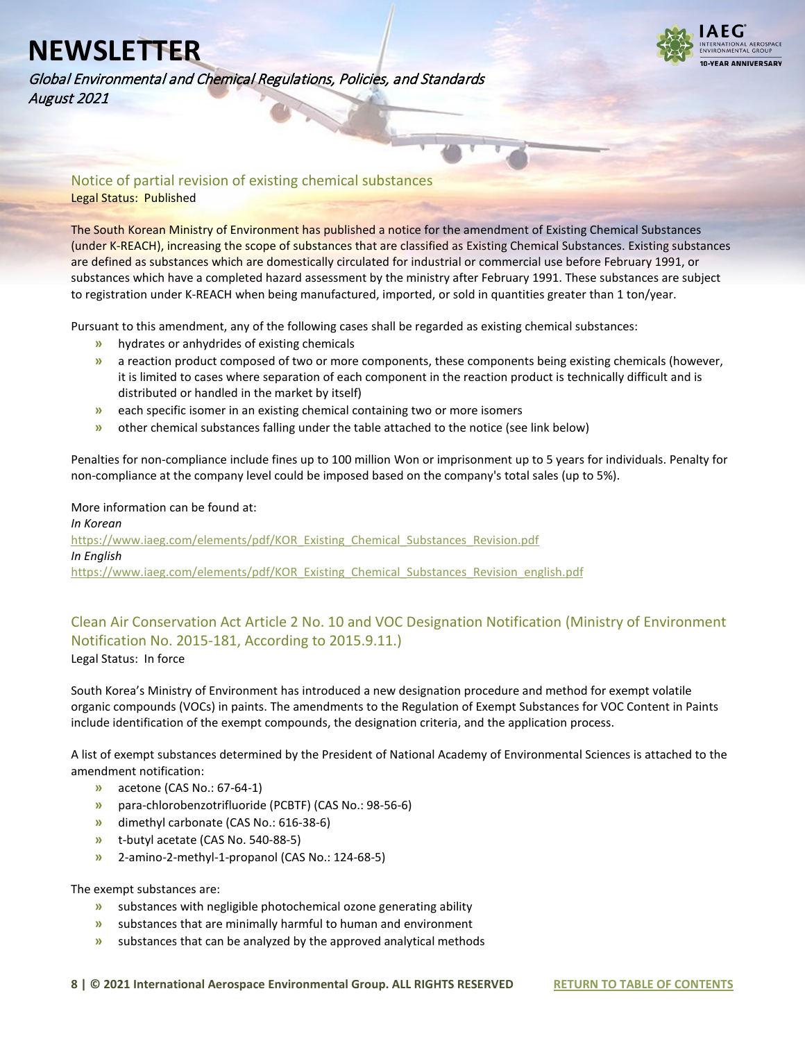

Global Environmental and Chemical Regulations, Policies, and Standards August 2021

#### <span id="page-7-0"></span>Notice of partial revision of existing chemical substances Legal Status: Published

The South Korean Ministry of Environment has published a notice for the amendment of Existing Chemical Substances (under K-REACH), increasing the scope of substances that are classified as Existing Chemical Substances. Existing substances are defined as substances which are domestically circulated for industrial or commercial use before February 1991, or substances which have a completed hazard assessment by the ministry after February 1991. These substances are subject to registration under K-REACH when being manufactured, imported, or sold in quantities greater than 1 ton/year.

Pursuant to this amendment, any of the following cases shall be regarded as existing chemical substances:

- **»** hydrates or anhydrides of existing chemicals
- **»** a reaction product composed of two or more components, these components being existing chemicals (however, it is limited to cases where separation of each component in the reaction product is technically difficult and is distributed or handled in the market by itself)
- **»** each specific isomer in an existing chemical containing two or more isomers
- **»** other chemical substances falling under the table attached to the notice (see link below)

Penalties for non-compliance include fines up to 100 million Won or imprisonment up to 5 years for individuals. Penalty for non-compliance at the company level could be imposed based on the company's total sales (up to 5%).

#### More information can be found at:

*In Korean*  [https://www.iaeg.com/elements/pdf/KOR\\_Existing\\_Chemical\\_Substances\\_Revision.pdf](https://www.iaeg.com/elements/pdf/KOR_Existing_Chemical_Substances_Revision.pdf) *In English* [https://www.iaeg.com/elements/pdf/KOR\\_Existing\\_Chemical\\_Substances\\_Revision\\_english.pdf](https://www.iaeg.com/elements/pdf/KOR_Existing_Chemical_Substances_Revision_english.pdf)

#### <span id="page-7-1"></span>Clean Air Conservation Act Article 2 No. 10 and VOC Designation Notification (Ministry of Environment Notification No. 2015-181, According to 2015.9.11.) Legal Status: In force

South Korea's Ministry of Environment has introduced a new designation procedure and method for exempt volatile organic compounds (VOCs) in paints. The amendments to the Regulation of Exempt Substances for VOC Content in Paints include identification of the exempt compounds, the designation criteria, and the application process.

A list of exempt substances determined by the President of National Academy of Environmental Sciences is attached to the amendment notification:

- **»** acetone (CAS No.: 67-64-1)
- **»** para-chlorobenzotrifluoride (PCBTF) (CAS No.: 98-56-6)
- **»** dimethyl carbonate (CAS No.: 616-38-6)
- **»** t-butyl acetate (CAS No. 540-88-5)
- **»** 2-amino-2-methyl-1-propanol (CAS No.: 124-68-5)

#### The exempt substances are:

- **»** substances with negligible photochemical ozone generating ability
- **»** substances that are minimally harmful to human and environment
- **»** substances that can be analyzed by the approved analytical methods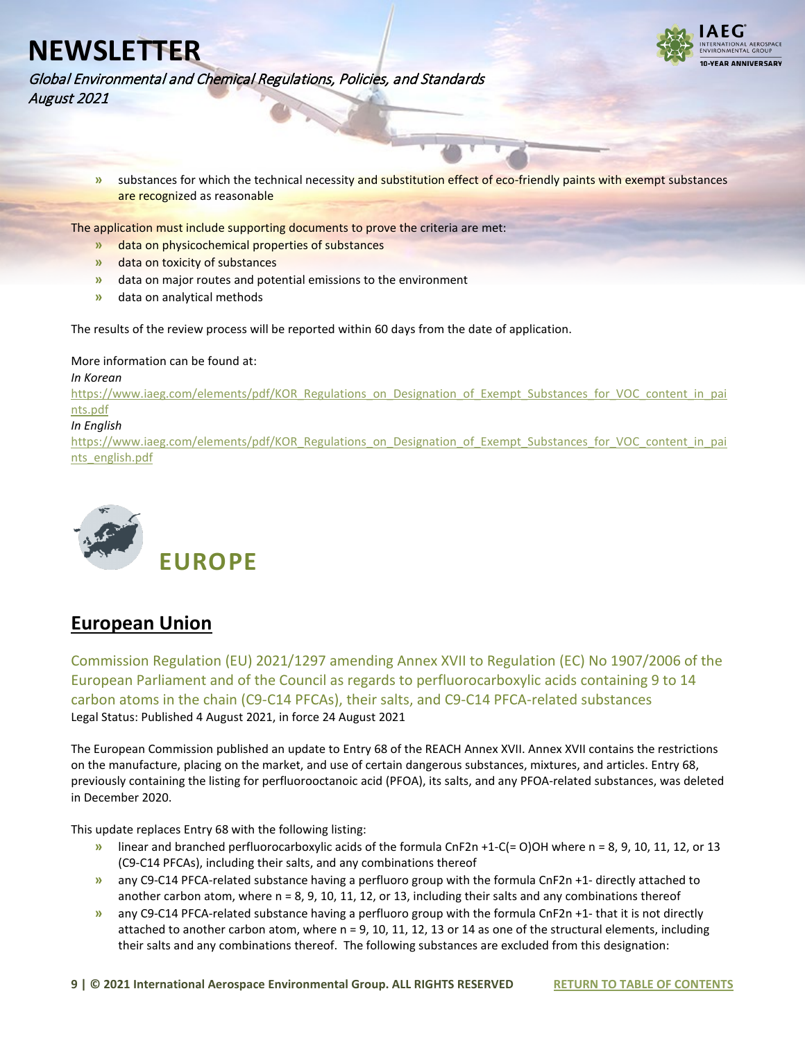

Global Environmental and Chemical Regulations, Policies, and Standards August 2021

> **»** substances for which the technical necessity and substitution effect of eco-friendly paints with exempt substances are recognized as reasonable

The application must include supporting documents to prove the criteria are met:

- **»** data on physicochemical properties of substances
- **»** data on toxicity of substances
- **»** data on major routes and potential emissions to the environment
- **»** data on analytical methods

The results of the review process will be reported within 60 days from the date of application.

More information can be found at:

#### *In Korean*

[https://www.iaeg.com/elements/pdf/KOR\\_Regulations\\_on\\_Designation\\_of\\_Exempt\\_Substances\\_for\\_VOC\\_content\\_in\\_pai](https://www.iaeg.com/elements/pdf/KOR_Regulations_on_Designation_of_Exempt_Substances_for_VOC_content_in_paints.pdf) [nts.pdf](https://www.iaeg.com/elements/pdf/KOR_Regulations_on_Designation_of_Exempt_Substances_for_VOC_content_in_paints.pdf)

#### *In English*

[https://www.iaeg.com/elements/pdf/KOR\\_Regulations\\_on\\_Designation\\_of\\_Exempt\\_Substances\\_for\\_VOC\\_content\\_in\\_pai](https://www.iaeg.com/elements/pdf/KOR_Regulations_on_Designation_of_Exempt_Substances_for_VOC_content_in_paints_english.pdf) [nts\\_english.pdf](https://www.iaeg.com/elements/pdf/KOR_Regulations_on_Designation_of_Exempt_Substances_for_VOC_content_in_paints_english.pdf)

<span id="page-8-0"></span>

### <span id="page-8-1"></span>**European Union**

<span id="page-8-2"></span>Commission Regulation (EU) 2021/1297 amending Annex XVII to Regulation (EC) No 1907/2006 of the European Parliament and of the Council as regards to perfluorocarboxylic acids containing 9 to 14 carbon atoms in the chain (C9-C14 PFCAs), their salts, and C9-C14 PFCA-related substances Legal Status: Published 4 August 2021, in force 24 August 2021

The European Commission published an update to Entry 68 of the REACH Annex XVII. Annex XVII contains the restrictions on the manufacture, placing on the market, and use of certain dangerous substances, mixtures, and articles. Entry 68, previously containing the listing for perfluorooctanoic acid (PFOA), its salts, and any PFOA-related substances, was deleted in December 2020.

This update replaces Entry 68 with the following listing:

- **»** linear and branched perfluorocarboxylic acids of the formula CnF2n +1-C(= O)OH where n = 8, 9, 10, 11, 12, or 13 (C9-C14 PFCAs), including their salts, and any combinations thereof
- **»** any C9-C14 PFCA-related substance having a perfluoro group with the formula CnF2n +1- directly attached to another carbon atom, where  $n = 8$ , 9, 10, 11, 12, or 13, including their salts and any combinations thereof
- **»** any C9-C14 PFCA-related substance having a perfluoro group with the formula CnF2n +1- that it is not directly attached to another carbon atom, where n = 9, 10, 11, 12, 13 or 14 as one of the structural elements, including their salts and any combinations thereof. The following substances are excluded from this designation: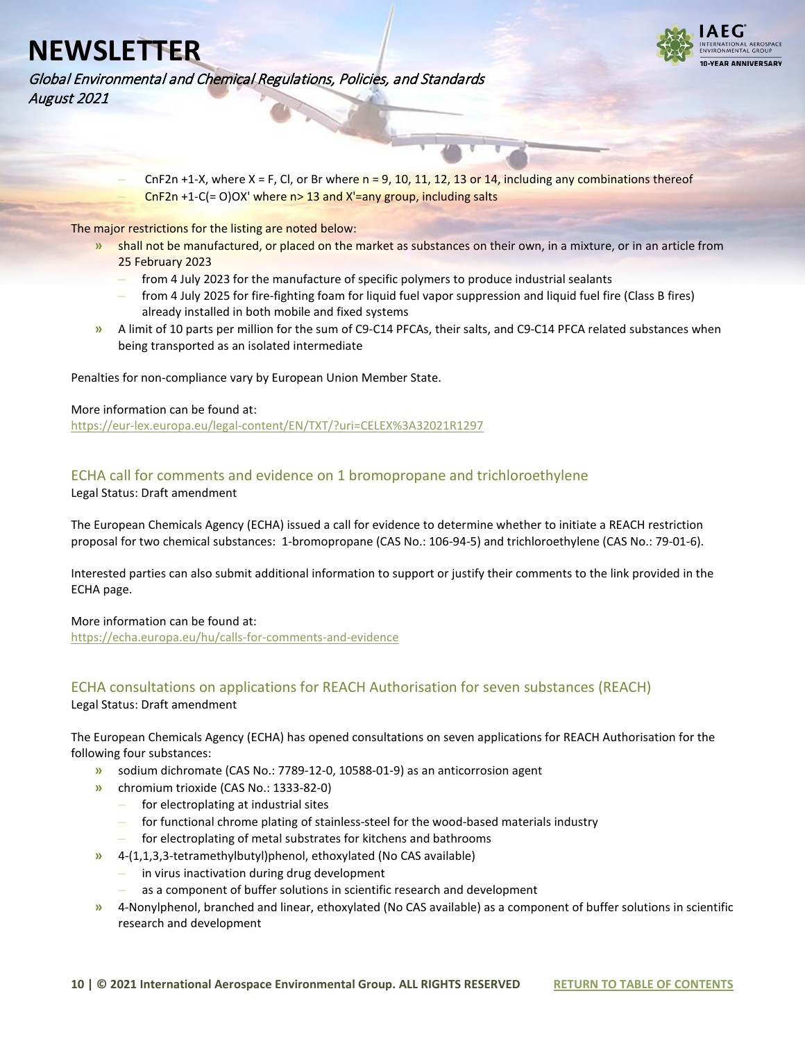

Global Environmental and Chemical Regulations, Policies, and Standards August 2021

> **–** CnF2n +1-X, where X = F, Cl, or Br where n = 9, 10, 11, 12, 13 or 14, including any combinations thereof **–** CnF2n +1-C(= O)OX' where n> 13 and X'=any group, including salts

The major restrictions for the listing are noted below:

- **»** shall not be manufactured, or placed on the market as substances on their own, in a mixture, or in an article from 25 February 2023
	- **–** from 4 July 2023 for the manufacture of specific polymers to produce industrial sealants
	- **–** from 4 July 2025 for fire-fighting foam for liquid fuel vapor suppression and liquid fuel fire (Class B fires) already installed in both mobile and fixed systems
- **»** A limit of 10 parts per million for the sum of C9-C14 PFCAs, their salts, and C9-C14 PFCA related substances when being transported as an isolated intermediate

Penalties for non-compliance vary by European Union Member State.

#### More information can be found at:

<https://eur-lex.europa.eu/legal-content/EN/TXT/?uri=CELEX%3A32021R1297>

#### <span id="page-9-0"></span>ECHA call for comments and evidence on 1 bromopropane and trichloroethylene Legal Status: Draft amendment

The European Chemicals Agency (ECHA) issued a call for evidence to determine whether to initiate a REACH restriction proposal for two chemical substances: 1-bromopropane (CAS No.: 106-94-5) and trichloroethylene (CAS No.: 79-01-6).

Interested parties can also submit additional information to support or justify their comments to the link provided in the ECHA page.

#### More information can be found at:

<https://echa.europa.eu/hu/calls-for-comments-and-evidence>

### <span id="page-9-1"></span>ECHA consultations on applications for REACH Authorisation for seven substances (REACH)

Legal Status: Draft amendment

The European Chemicals Agency (ECHA) has opened consultations on seven applications for REACH Authorisation for the following four substances:

- **»** sodium dichromate (CAS No.: 7789-12-0, 10588-01-9) as an anticorrosion agent
- **»** chromium trioxide (CAS No.: 1333-82-0)
	- **–** for electroplating at industrial sites
	- **–** for functional chrome plating of stainless-steel for the wood-based materials industry
	- **–** for electroplating of metal substrates for kitchens and bathrooms
- **»** 4-(1,1,3,3-tetramethylbutyl)phenol, ethoxylated (No CAS available)
	- **–** in virus inactivation during drug development
	- **–** as a component of buffer solutions in scientific research and development
- **»** 4-Nonylphenol, branched and linear, ethoxylated (No CAS available) as a component of buffer solutions in scientific research and development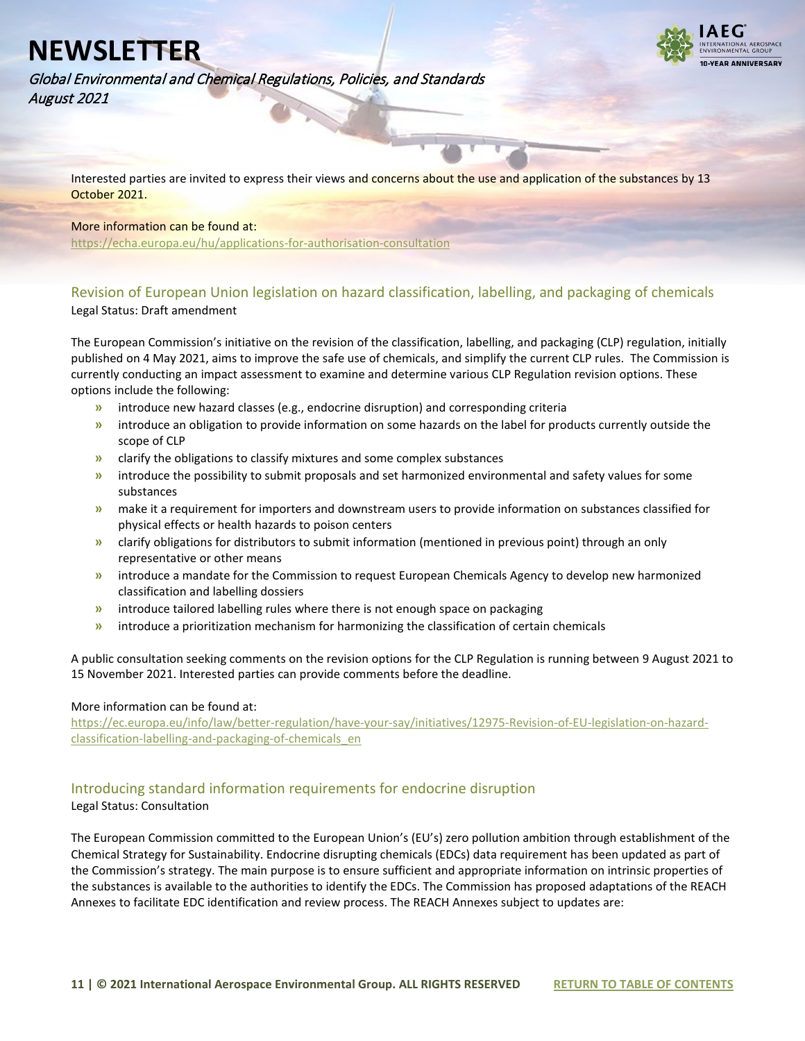

Global Environmental and Chemical Regulations, Policies, and Standards August 2021

Interested parties are invited to express their views and concerns about the use and application of the substances by 13 October 2021.

#### More information can be found at:

<https://echa.europa.eu/hu/applications-for-authorisation-consultation>

#### <span id="page-10-0"></span>Revision of European Union legislation on hazard classification, labelling, and packaging of chemicals Legal Status: Draft amendment

The European Commission's initiative on the revision of the classification, labelling, and packaging (CLP) regulation, initially published on 4 May 2021, aims to improve the safe use of chemicals, and simplify the current CLP rules. The Commission is currently conducting an impact assessment to examine and determine various CLP Regulation revision options. These options include the following:

- **»** introduce new hazard classes (e.g., endocrine disruption) and corresponding criteria
- **»** introduce an obligation to provide information on some hazards on the label for products currently outside the scope of CLP
- **»** clarify the obligations to classify mixtures and some complex substances
- **»** introduce the possibility to submit proposals and set harmonized environmental and safety values for some substances
- **»** make it a requirement for importers and downstream users to provide information on substances classified for physical effects or health hazards to poison centers
- **»** clarify obligations for distributors to submit information (mentioned in previous point) through an only representative or other means
- **»** introduce a mandate for the Commission to request European Chemicals Agency to develop new harmonized classification and labelling dossiers
- **»** introduce tailored labelling rules where there is not enough space on packaging
- **»** introduce a prioritization mechanism for harmonizing the classification of certain chemicals

A public consultation seeking comments on the revision options for the CLP Regulation is running between 9 August 2021 to 15 November 2021. Interested parties can provide comments before the deadline.

#### More information can be found at:

[https://ec.europa.eu/info/law/better-regulation/have-your-say/initiatives/12975-Revision-of-EU-legislation-on-hazard](https://ec.europa.eu/info/law/better-regulation/have-your-say/initiatives/12975-Revision-of-EU-legislation-on-hazard-classification-labelling-and-packaging-of-chemicals_en)[classification-labelling-and-packaging-of-chemicals\\_en](https://ec.europa.eu/info/law/better-regulation/have-your-say/initiatives/12975-Revision-of-EU-legislation-on-hazard-classification-labelling-and-packaging-of-chemicals_en)

#### <span id="page-10-1"></span>Introducing standard information requirements for endocrine disruption

#### Legal Status: Consultation

The European Commission committed to the European Union's (EU's) zero pollution ambition through establishment of the Chemical Strategy for Sustainability. Endocrine disrupting chemicals (EDCs) data requirement has been updated as part of the Commission's strategy. The main purpose is to ensure sufficient and appropriate information on intrinsic properties of the substances is available to the authorities to identify the EDCs. The Commission has proposed adaptations of the REACH Annexes to facilitate EDC identification and review process. The REACH Annexes subject to updates are: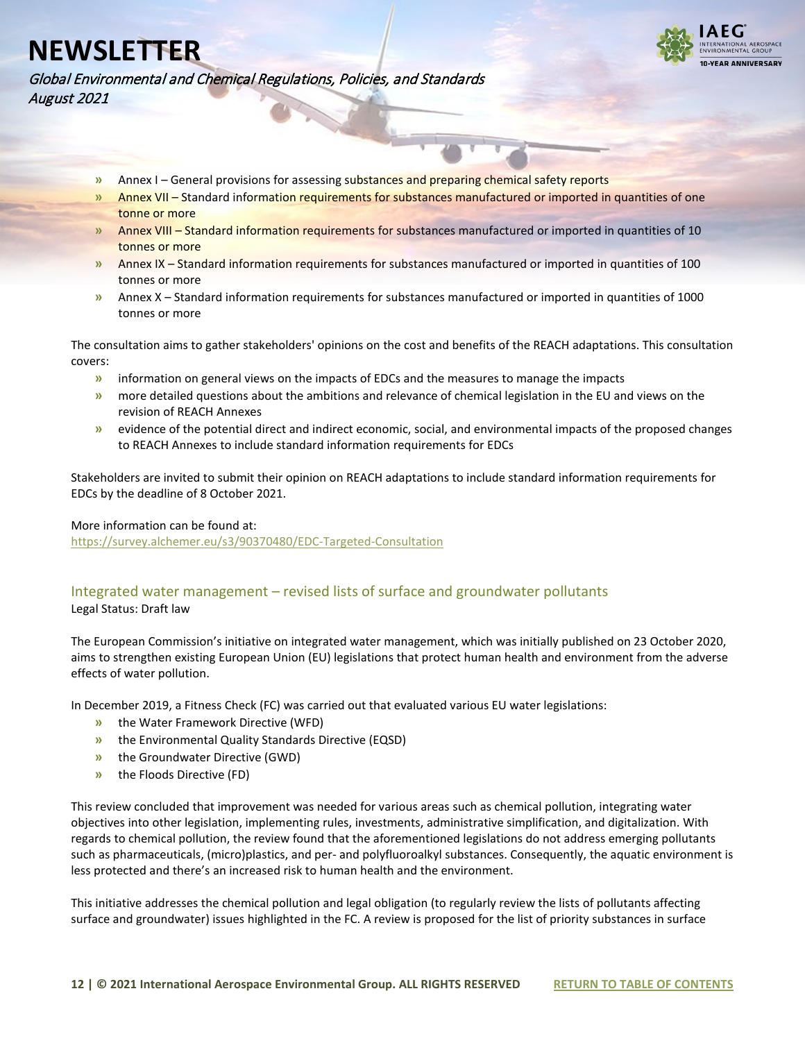

Global Environmental and Chemical Regulations, Policies, and Standards August 2021

- **»** Annex I General provisions for assessing substances and preparing chemical safety reports
- **»** Annex VII Standard information requirements for substances manufactured or imported in quantities of one tonne or more
- **»** Annex VIII Standard information requirements for substances manufactured or imported in quantities of 10 tonnes or more
- **»** Annex IX Standard information requirements for substances manufactured or imported in quantities of 100 tonnes or more
- **»** Annex X Standard information requirements for substances manufactured or imported in quantities of 1000 tonnes or more

The consultation aims to gather stakeholders' opinions on the cost and benefits of the REACH adaptations. This consultation covers:

- **»** information on general views on the impacts of EDCs and the measures to manage the impacts
- **»** more detailed questions about the ambitions and relevance of chemical legislation in the EU and views on the revision of REACH Annexes
- **»** evidence of the potential direct and indirect economic, social, and environmental impacts of the proposed changes to REACH Annexes to include standard information requirements for EDCs

Stakeholders are invited to submit their opinion on REACH adaptations to include standard information requirements for EDCs by the deadline of 8 October 2021.

#### More information can be found at:

<https://survey.alchemer.eu/s3/90370480/EDC-Targeted-Consultation>

#### <span id="page-11-0"></span>Integrated water management – revised lists of surface and groundwater pollutants Legal Status: Draft law

The European Commission's initiative on integrated water management, which was initially published on 23 October 2020, aims to strengthen existing European Union (EU) legislations that protect human health and environment from the adverse effects of water pollution.

In December 2019, a Fitness Check (FC) was carried out that evaluated various EU water legislations:

- **»** the Water Framework Directive (WFD)
- **»** the Environmental Quality Standards Directive (EQSD)
- **»** the Groundwater Directive (GWD)
- **»** the Floods Directive (FD)

This review concluded that improvement was needed for various areas such as chemical pollution, integrating water objectives into other legislation, implementing rules, investments, administrative simplification, and digitalization. With regards to chemical pollution, the review found that the aforementioned legislations do not address emerging pollutants such as pharmaceuticals, (micro)plastics, and per- and polyfluoroalkyl substances. Consequently, the aquatic environment is less protected and there's an increased risk to human health and the environment.

This initiative addresses the chemical pollution and legal obligation (to regularly review the lists of pollutants affecting surface and groundwater) issues highlighted in the FC. A review is proposed for the list of priority substances in surface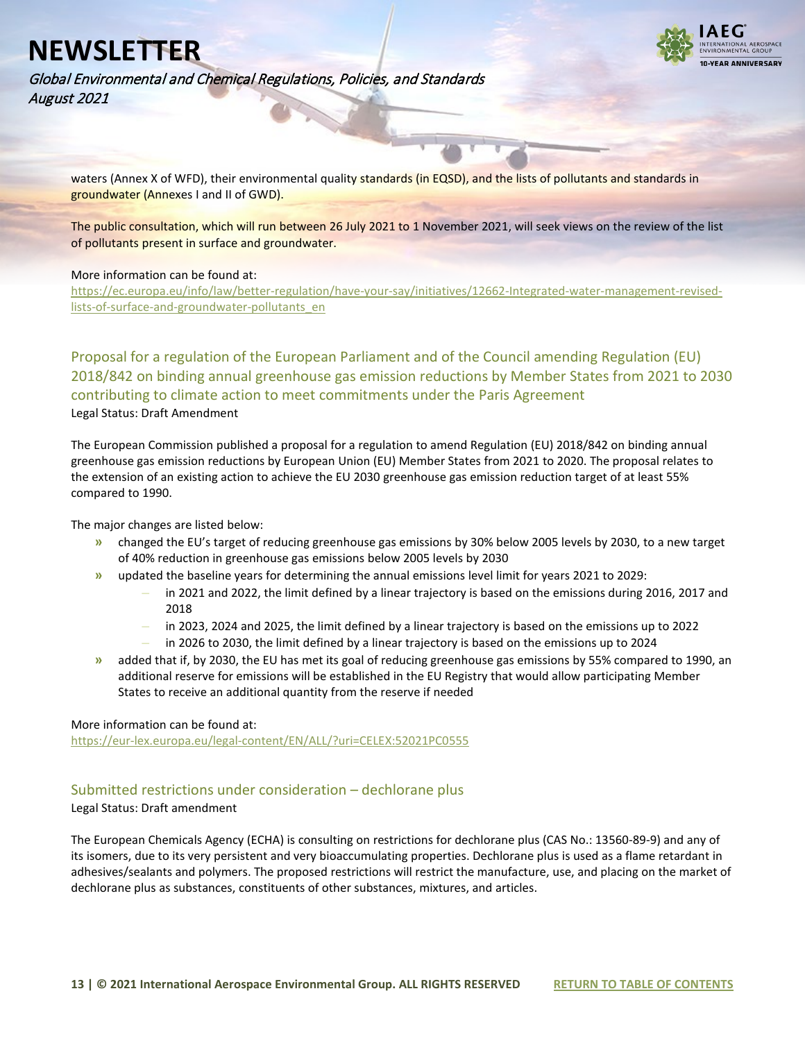

Global Environmental and Chemical Regulations, Policies, and Standards August 2021

waters (Annex X of WFD), their environmental quality standards (in EQSD), and the lists of pollutants and standards in groundwater (Annexes I and II of GWD).

The public consultation, which will run between 26 July 2021 to 1 November 2021, will seek views on the review of the list of pollutants present in surface and groundwater.

#### More information can be found at:

[https://ec.europa.eu/info/law/better-regulation/have-your-say/initiatives/12662-Integrated-water-management-revised](https://ec.europa.eu/info/law/better-regulation/have-your-say/initiatives/12662-Integrated-water-management-revised-lists-of-surface-and-groundwater-pollutants_en)[lists-of-surface-and-groundwater-pollutants\\_en](https://ec.europa.eu/info/law/better-regulation/have-your-say/initiatives/12662-Integrated-water-management-revised-lists-of-surface-and-groundwater-pollutants_en)

<span id="page-12-0"></span>Proposal for a regulation of the European Parliament and of the Council amending Regulation (EU) 2018/842 on binding annual greenhouse gas emission reductions by Member States from 2021 to 2030 contributing to climate action to meet commitments under the Paris Agreement Legal Status: Draft Amendment

The European Commission published a proposal for a regulation to amend Regulation (EU) 2018/842 on binding annual greenhouse gas emission reductions by European Union (EU) Member States from 2021 to 2020. The proposal relates to the extension of an existing action to achieve the EU 2030 greenhouse gas emission reduction target of at least 55% compared to 1990.

The major changes are listed below:

- **»** changed the EU's target of reducing greenhouse gas emissions by 30% below 2005 levels by 2030, to a new target of 40% reduction in greenhouse gas emissions below 2005 levels by 2030
- **»** updated the baseline years for determining the annual emissions level limit for years 2021 to 2029:
	- **–** in 2021 and 2022, the limit defined by a linear trajectory is based on the emissions during 2016, 2017 and 2018
	- **–** in 2023, 2024 and 2025, the limit defined by a linear trajectory is based on the emissions up to 2022
	- **–** in 2026 to 2030, the limit defined by a linear trajectory is based on the emissions up to 2024
- **»** added that if, by 2030, the EU has met its goal of reducing greenhouse gas emissions by 55% compared to 1990, an additional reserve for emissions will be established in the EU Registry that would allow participating Member States to receive an additional quantity from the reserve if needed

#### More information can be found at:

<https://eur-lex.europa.eu/legal-content/EN/ALL/?uri=CELEX:52021PC0555>

#### <span id="page-12-1"></span>Submitted restrictions under consideration – dechlorane plus

Legal Status: Draft amendment

The European Chemicals Agency (ECHA) is consulting on restrictions for dechlorane plus (CAS No.: 13560-89-9) and any of its isomers, due to its very persistent and very bioaccumulating properties. Dechlorane plus is used as a flame retardant in adhesives/sealants and polymers. The proposed restrictions will restrict the manufacture, use, and placing on the market of dechlorane plus as substances, constituents of other substances, mixtures, and articles.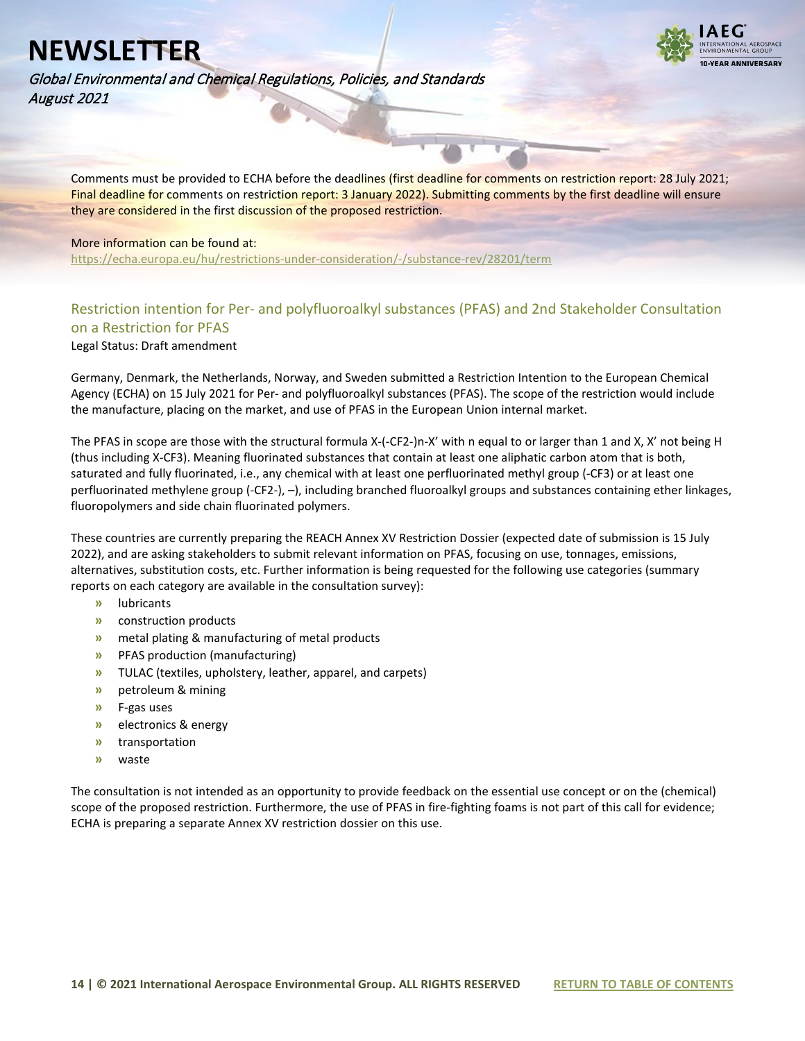

Global Environmental and Chemical Regulations, Policies, and Standards August 2021

Comments must be provided to ECHA before the deadlines (first deadline for comments on restriction report: 28 July 2021; Final deadline for comments on restriction report: 3 January 2022). Submitting comments by the first deadline will ensure they are considered in the first discussion of the proposed restriction.

#### More information can be found at:

<https://echa.europa.eu/hu/restrictions-under-consideration/-/substance-rev/28201/term>

### <span id="page-13-0"></span>Restriction intention for Per- and polyfluoroalkyl substances (PFAS) and 2nd Stakeholder Consultation on a Restriction for PFAS

Legal Status: Draft amendment

Germany, Denmark, the Netherlands, Norway, and Sweden submitted a Restriction Intention to the European Chemical Agency (ECHA) on 15 July 2021 for Per- and polyfluoroalkyl substances (PFAS). The scope of the restriction would include the manufacture, placing on the market, and use of PFAS in the European Union internal market.

The PFAS in scope are those with the structural formula X-(-CF2-)n-X' with n equal to or larger than 1 and X, X' not being H (thus including X-CF3). Meaning fluorinated substances that contain at least one aliphatic carbon atom that is both, saturated and fully fluorinated, i.e., any chemical with at least one perfluorinated methyl group (-CF3) or at least one perfluorinated methylene group (-CF2-), –), including branched fluoroalkyl groups and substances containing ether linkages, fluoropolymers and side chain fluorinated polymers.

These countries are currently preparing the REACH Annex XV Restriction Dossier (expected date of submission is 15 July 2022), and are asking stakeholders to submit relevant information on PFAS, focusing on use, tonnages, emissions, alternatives, substitution costs, etc. Further information is being requested for the following use categories (summary reports on each category are available in the consultation survey):

- **»** lubricants
- **»** construction products
- **»** metal plating & manufacturing of metal products
- **»** PFAS production (manufacturing)
- **»** TULAC (textiles, upholstery, leather, apparel, and carpets)
- **»** petroleum & mining
- **»** F-gas uses
- **»** electronics & energy
- **»** transportation
- **»** waste

The consultation is not intended as an opportunity to provide feedback on the essential use concept or on the (chemical) scope of the proposed restriction. Furthermore, the use of PFAS in fire-fighting foams is not part of this call for evidence; ECHA is preparing a separate Annex XV restriction dossier on this use.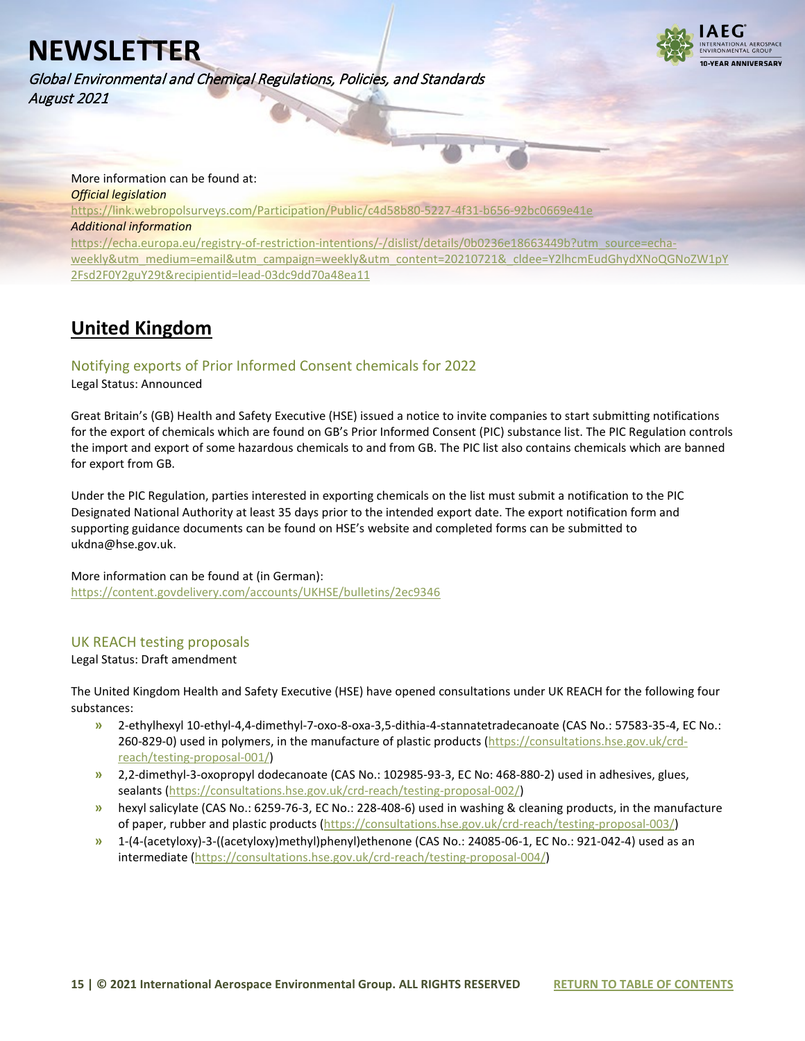

Global Environmental and Chemical Regulations, Policies, and Standards August 2021

More information can be found at: *Official legislation* <https://link.webropolsurveys.com/Participation/Public/c4d58b80-5227-4f31-b656-92bc0669e41e> *Additional information* [https://echa.europa.eu/registry-of-restriction-intentions/-/dislist/details/0b0236e18663449b?utm\\_source=echa](https://echa.europa.eu/registry-of-restriction-intentions/-/dislist/details/0b0236e18663449b?utm_source=echa-weekly&utm_medium=email&utm_campaign=weekly&utm_content=20210721&_cldee=Y2lhcmEudGhydXNoQGNoZW1pY2Fsd2F0Y2guY29t&recipientid=lead-03dc9dd70a48ea11)[weekly&utm\\_medium=email&utm\\_campaign=weekly&utm\\_content=20210721&\\_cldee=Y2lhcmEudGhydXNoQGNoZW1pY](https://echa.europa.eu/registry-of-restriction-intentions/-/dislist/details/0b0236e18663449b?utm_source=echa-weekly&utm_medium=email&utm_campaign=weekly&utm_content=20210721&_cldee=Y2lhcmEudGhydXNoQGNoZW1pY2Fsd2F0Y2guY29t&recipientid=lead-03dc9dd70a48ea11) [2Fsd2F0Y2guY29t&recipientid=lead-03dc9dd70a48ea11](https://echa.europa.eu/registry-of-restriction-intentions/-/dislist/details/0b0236e18663449b?utm_source=echa-weekly&utm_medium=email&utm_campaign=weekly&utm_content=20210721&_cldee=Y2lhcmEudGhydXNoQGNoZW1pY2Fsd2F0Y2guY29t&recipientid=lead-03dc9dd70a48ea11)

### <span id="page-14-0"></span>**United Kingdom**

#### <span id="page-14-1"></span>Notifying exports of Prior Informed Consent chemicals for 2022

#### Legal Status: Announced

Great Britain's (GB) Health and Safety Executive (HSE) issued a notice to invite companies to start submitting notifications for the export of chemicals which are found on GB's Prior Informed Consent (PIC) substance list. The PIC Regulation controls the import and export of some hazardous chemicals to and from GB. The PIC list also contains chemicals which are banned for export from GB.

Under the PIC Regulation, parties interested in exporting chemicals on the list must submit a notification to the PIC Designated National Authority at least 35 days prior to the intended export date. The export notification form and supporting guidance documents can be found on HSE's website and completed forms can be submitted to ukdna@hse.gov.uk.

### More information can be found at (in German):

<https://content.govdelivery.com/accounts/UKHSE/bulletins/2ec9346>

#### <span id="page-14-2"></span>UK REACH testing proposals

#### Legal Status: Draft amendment

The United Kingdom Health and Safety Executive (HSE) have opened consultations under UK REACH for the following four substances:

- **»** 2-ethylhexyl 10-ethyl-4,4-dimethyl-7-oxo-8-oxa-3,5-dithia-4-stannatetradecanoate (CAS No.: 57583-35-4, EC No.: 260-829-0) used in polymers, in the manufacture of plastic products [\(https://consultations.hse.gov.uk/crd](https://consultations.hse.gov.uk/crd-reach/testing-proposal-001/)[reach/testing-proposal-001/\)](https://consultations.hse.gov.uk/crd-reach/testing-proposal-001/)
- **»** 2,2-dimethyl-3-oxopropyl dodecanoate (CAS No.: 102985-93-3, EC No: 468-880-2) used in adhesives, glues, sealants [\(https://consultations.hse.gov.uk/crd-reach/testing-proposal-002/\)](https://consultations.hse.gov.uk/crd-reach/testing-proposal-002/)
- **»** hexyl salicylate (CAS No.: 6259-76-3, EC No.: 228-408-6) used in washing & cleaning products, in the manufacture of paper, rubber and plastic products [\(https://consultations.hse.gov.uk/crd-reach/testing-proposal-003/\)](https://consultations.hse.gov.uk/crd-reach/testing-proposal-003/)
- **»** 1-(4-(acetyloxy)-3-((acetyloxy)methyl)phenyl)ethenone (CAS No.: 24085-06-1, EC No.: 921-042-4) used as an intermediate [\(https://consultations.hse.gov.uk/crd-reach/testing-proposal-004/\)](https://consultations.hse.gov.uk/crd-reach/testing-proposal-004/)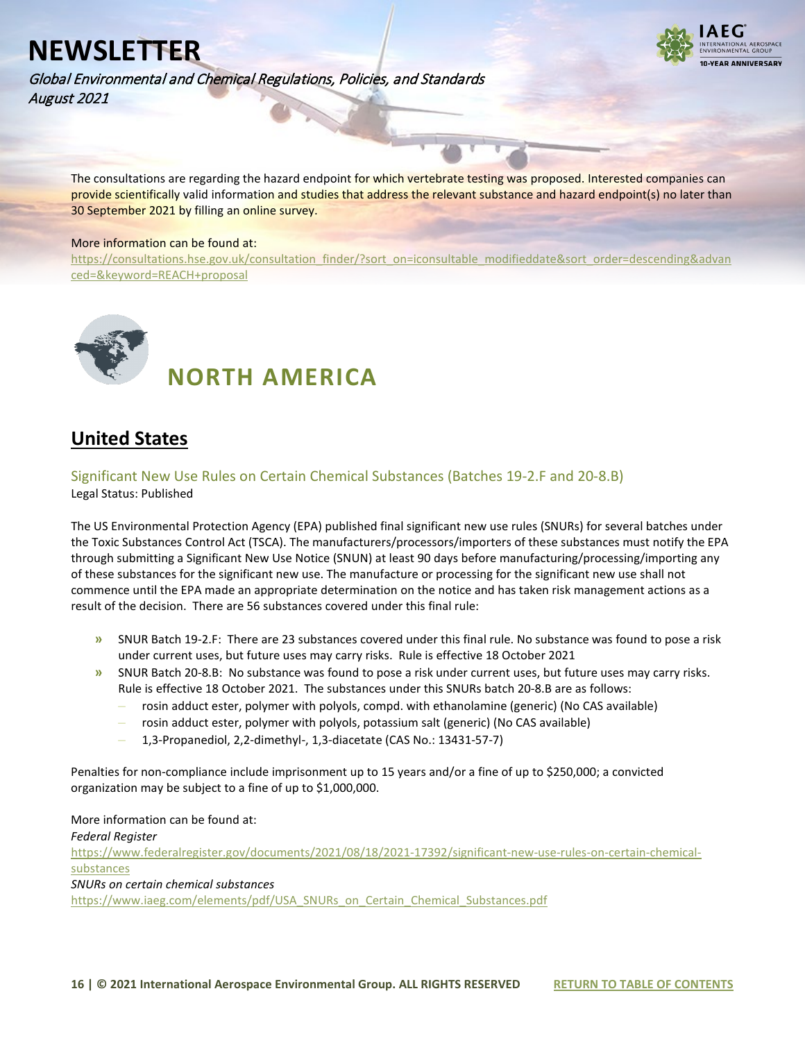

Global Environmental and Chemical Regulations, Policies, and Standards August 2021

The consultations are regarding the hazard endpoint for which vertebrate testing was proposed. Interested companies can provide scientifically valid information and studies that address the relevant substance and hazard endpoint(s) no later than 30 September 2021 by filling an online survey.

#### More information can be found at:

[https://consultations.hse.gov.uk/consultation\\_finder/?sort\\_on=iconsultable\\_modifieddate&sort\\_order=descending&advan](https://consultations.hse.gov.uk/consultation_finder/?sort_on=iconsultable_modifieddate&sort_order=descending&advanced=&keyword=REACH+proposal) [ced=&keyword=REACH+proposal](https://consultations.hse.gov.uk/consultation_finder/?sort_on=iconsultable_modifieddate&sort_order=descending&advanced=&keyword=REACH+proposal)

<span id="page-15-0"></span>

 **NORTH AMERICA** 

### <span id="page-15-1"></span>**United States**

<span id="page-15-2"></span>Significant New Use Rules on Certain Chemical Substances (Batches 19-2.F and 20-8.B) Legal Status: Published

The US Environmental Protection Agency (EPA) published final significant new use rules (SNURs) for several batches under the Toxic Substances Control Act (TSCA). The manufacturers/processors/importers of these substances must notify the EPA through submitting a Significant New Use Notice (SNUN) at least 90 days before manufacturing/processing/importing any of these substances for the significant new use. The manufacture or processing for the significant new use shall not commence until the EPA made an appropriate determination on the notice and has taken risk management actions as a result of the decision. There are 56 substances covered under this final rule:

- **»** SNUR Batch 19-2.F: There are 23 substances covered under this final rule. No substance was found to pose a risk under current uses, but future uses may carry risks. Rule is effective 18 October 2021
- **»** SNUR Batch 20-8.B: No substance was found to pose a risk under current uses, but future uses may carry risks. Rule is effective 18 October 2021. The substances under this SNURs batch 20-8.B are as follows:
	- **–** rosin adduct ester, polymer with polyols, compd. with ethanolamine (generic) (No CAS available)
	- **–** rosin adduct ester, polymer with polyols, potassium salt (generic) (No CAS available)
	- **–** 1,3-Propanediol, 2,2-dimethyl-, 1,3-diacetate (CAS No.: 13431-57-7)

Penalties for non-compliance include imprisonment up to 15 years and/or a fine of up to \$250,000; a convicted organization may be subject to a fine of up to \$1,000,000.

More information can be found at:

*Federal Register*

[https://www.federalregister.gov/documents/2021/08/18/2021-17392/significant-new-use-rules-on-certain-chemical](https://www.federalregister.gov/documents/2021/08/18/2021-17392/significant-new-use-rules-on-certain-chemical-substances)[substances](https://www.federalregister.gov/documents/2021/08/18/2021-17392/significant-new-use-rules-on-certain-chemical-substances)

*SNURs on certain chemical substances*

[https://www.iaeg.com/elements/pdf/USA\\_SNURs\\_on\\_Certain\\_Chemical\\_Substances.pdf](https://www.iaeg.com/elements/pdf/USA_SNURs_on_Certain_Chemical_Substances.pdf)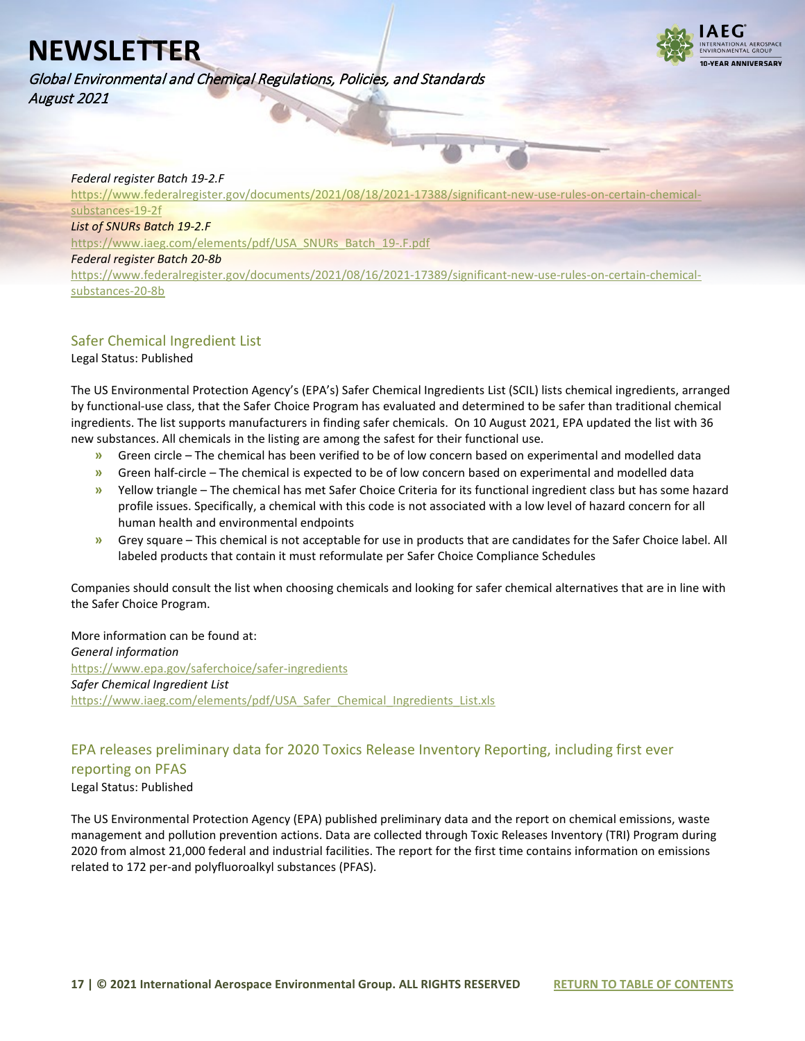



#### *Federal register Batch 19-2.F*

[https://www.federalregister.gov/documents/2021/08/18/2021-17388/significant-new-use-rules-on-certain-chemical](https://www.federalregister.gov/documents/2021/08/18/2021-17388/significant-new-use-rules-on-certain-chemical-substances-19-2f)[substances-19-2f](https://www.federalregister.gov/documents/2021/08/18/2021-17388/significant-new-use-rules-on-certain-chemical-substances-19-2f)

#### *List of SNURs Batch 19-2.F*

[https://www.iaeg.com/elements/pdf/USA\\_SNURs\\_Batch\\_19-.F.pdf](https://www.iaeg.com/elements/pdf/USA_SNURs_Batch_19-.F.pdf)

#### *Federal register Batch 20-8b*

[https://www.federalregister.gov/documents/2021/08/16/2021-17389/significant-new-use-rules-on-certain-chemical](https://www.federalregister.gov/documents/2021/08/16/2021-17389/significant-new-use-rules-on-certain-chemical-substances-20-8b)[substances-20-8b](https://www.federalregister.gov/documents/2021/08/16/2021-17389/significant-new-use-rules-on-certain-chemical-substances-20-8b)

#### <span id="page-16-0"></span>Safer Chemical Ingredient List

Legal Status: Published

The US Environmental Protection Agency's (EPA's) Safer Chemical Ingredients List (SCIL) lists chemical ingredients, arranged by functional-use class, that the Safer Choice Program has evaluated and determined to be safer than traditional chemical ingredients. The list supports manufacturers in finding safer chemicals. On 10 August 2021, EPA updated the list with 36 new substances. All chemicals in the listing are among the safest for their functional use.

- **»** Green circle The chemical has been verified to be of low concern based on experimental and modelled data
- **»** Green half-circle The chemical is expected to be of low concern based on experimental and modelled data
- **»** Yellow triangle The chemical has met Safer Choice Criteria for its functional ingredient class but has some hazard profile issues. Specifically, a chemical with this code is not associated with a low level of hazard concern for all human health and environmental endpoints
- **»** Grey square This chemical is not acceptable for use in products that are candidates for the Safer Choice label. All labeled products that contain it must reformulate per Safer Choice Compliance Schedules

Companies should consult the list when choosing chemicals and looking for safer chemical alternatives that are in line with the Safer Choice Program.

More information can be found at: *General information* <https://www.epa.gov/saferchoice/safer-ingredients> *Safer Chemical Ingredient List* [https://www.iaeg.com/elements/pdf/USA\\_Safer\\_Chemical\\_Ingredients\\_List.xls](https://www.iaeg.com/elements/pdf/USA_Safer_Chemical_Ingredients_List.xls)

### <span id="page-16-1"></span>EPA releases preliminary data for 2020 Toxics Release Inventory Reporting, including first ever

#### reporting on PFAS

#### Legal Status: Published

The US Environmental Protection Agency (EPA) published preliminary data and the report on chemical emissions, waste management and pollution prevention actions. Data are collected through Toxic Releases Inventory (TRI) Program during 2020 from almost 21,000 federal and industrial facilities. The report for the first time contains information on emissions related to 172 per-and polyfluoroalkyl substances (PFAS).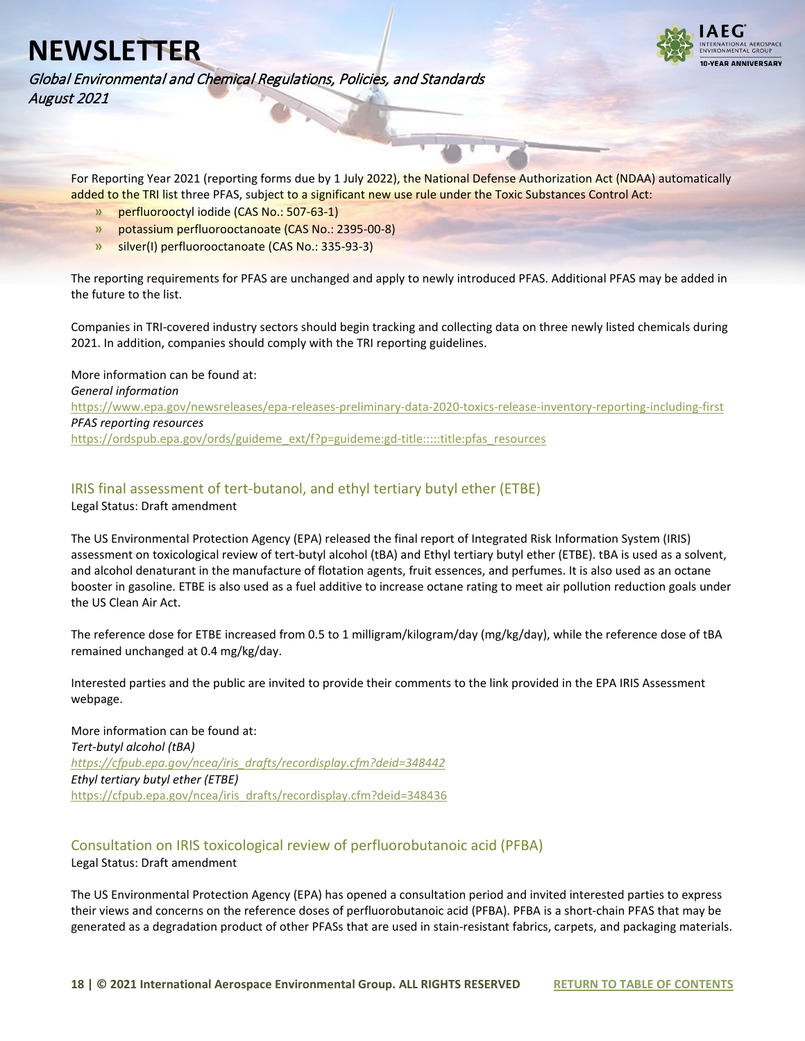

Global Environmental and Chemical Regulations, Policies, and Standards August 2021

For Reporting Year 2021 (reporting forms due by 1 July 2022), the National Defense Authorization Act (NDAA) automatically added to the TRI list three PFAS, subject to a significant new use rule under the Toxic Substances Control Act:

- **»** perfluorooctyl iodide (CAS No.: 507-63-1)
- **»** potassium perfluorooctanoate (CAS No.: 2395-00-8)
- **»** silver(I) perfluorooctanoate (CAS No.: 335-93-3)

The reporting requirements for PFAS are unchanged and apply to newly introduced PFAS. Additional PFAS may be added in the future to the list.

Companies in TRI-covered industry sectors should begin tracking and collecting data on three newly listed chemicals during 2021. In addition, companies should comply with the TRI reporting guidelines.

More information can be found at: *General information* <https://www.epa.gov/newsreleases/epa-releases-preliminary-data-2020-toxics-release-inventory-reporting-including-first> *PFAS reporting resources* [https://ordspub.epa.gov/ords/guideme\\_ext/f?p=guideme:gd-title:::::title:pfas\\_resources](https://ordspub.epa.gov/ords/guideme_ext/f?p=guideme:gd-title:::::title:pfas_resources)

<span id="page-17-0"></span>IRIS final assessment of tert-butanol, and ethyl tertiary butyl ether (ETBE)

Legal Status: Draft amendment

The US Environmental Protection Agency (EPA) released the final report of Integrated Risk Information System (IRIS) assessment on toxicological review of tert-butyl alcohol (tBA) and Ethyl tertiary butyl ether (ETBE). tBA is used as a solvent, and alcohol denaturant in the manufacture of flotation agents, fruit essences, and perfumes. It is also used as an octane booster in gasoline. ETBE is also used as a fuel additive to increase octane rating to meet air pollution reduction goals under the US Clean Air Act.

The reference dose for ETBE increased from 0.5 to 1 milligram/kilogram/day (mg/kg/day), while the reference dose of tBA remained unchanged at 0.4 mg/kg/day.

Interested parties and the public are invited to provide their comments to the link provided in the EPA IRIS Assessment webpage.

More information can be found at: *Tert-butyl alcohol (tBA) [https://cfpub.epa.gov/ncea/iris\\_drafts/recordisplay.cfm?deid=348442](https://cfpub.epa.gov/ncea/iris_drafts/recordisplay.cfm?deid=348442) Ethyl tertiary butyl ether (ETBE)* [https://cfpub.epa.gov/ncea/iris\\_drafts/recordisplay.cfm?deid=348436](https://cfpub.epa.gov/ncea/iris_drafts/recordisplay.cfm?deid=348436)

### <span id="page-17-1"></span>Consultation on IRIS toxicological review of perfluorobutanoic acid (PFBA)

Legal Status: Draft amendment

The US Environmental Protection Agency (EPA) has opened a consultation period and invited interested parties to express their views and concerns on the reference doses of perfluorobutanoic acid (PFBA). PFBA is a short-chain PFAS that may be generated as a degradation product of other PFASs that are used in stain-resistant fabrics, carpets, and packaging materials.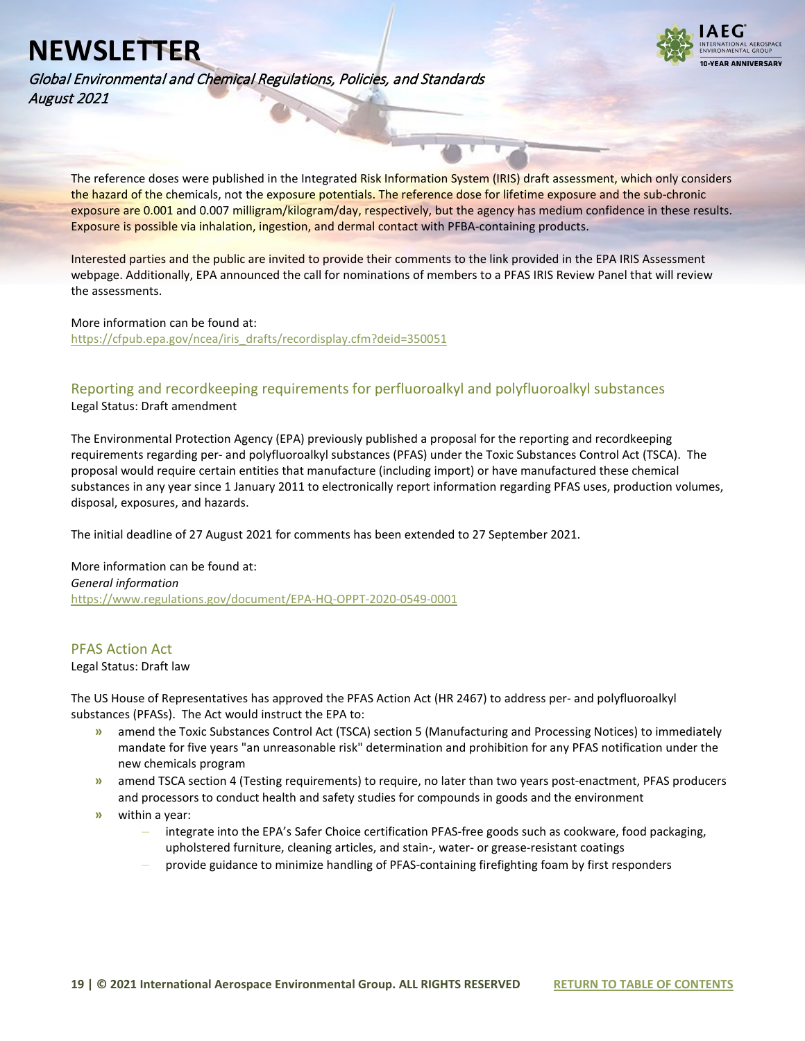

Global Environmental and Chemical Regulations, Policies, and Standards August 2021

The reference doses were published in the Integrated Risk Information System (IRIS) draft assessment, which only considers the hazard of the chemicals, not the exposure potentials. The reference dose for lifetime exposure and the sub-chronic exposure are 0.001 and 0.007 milligram/kilogram/day, respectively, but the agency has medium confidence in these results. Exposure is possible via inhalation, ingestion, and dermal contact with PFBA-containing products.

Interested parties and the public are invited to provide their comments to the link provided in the EPA IRIS Assessment webpage. Additionally, EPA announced the call for nominations of members to a PFAS IRIS Review Panel that will review the assessments.

#### More information can be found at:

[https://cfpub.epa.gov/ncea/iris\\_drafts/recordisplay.cfm?deid=350051](https://cfpub.epa.gov/ncea/iris_drafts/recordisplay.cfm?deid=350051)

#### <span id="page-18-0"></span>Reporting and recordkeeping requirements for perfluoroalkyl and polyfluoroalkyl substances Legal Status: Draft amendment

The Environmental Protection Agency (EPA) previously published a proposal for the reporting and recordkeeping requirements regarding per- and polyfluoroalkyl substances (PFAS) under the Toxic Substances Control Act (TSCA). The proposal would require certain entities that manufacture (including import) or have manufactured these chemical substances in any year since 1 January 2011 to electronically report information regarding PFAS uses, production volumes, disposal, exposures, and hazards.

The initial deadline of 27 August 2021 for comments has been extended to 27 September 2021.

More information can be found at: *General information* <https://www.regulations.gov/document/EPA-HQ-OPPT-2020-0549-0001>

#### <span id="page-18-1"></span>PFAS Action Act

Legal Status: Draft law

The US House of Representatives has approved the PFAS Action Act (HR 2467) to address per- and polyfluoroalkyl substances (PFASs). The Act would instruct the EPA to:

- **»** amend the Toxic Substances Control Act (TSCA) section 5 (Manufacturing and Processing Notices) to immediately mandate for five years "an unreasonable risk" determination and prohibition for any PFAS notification under the new chemicals program
- **»** amend TSCA section 4 (Testing requirements) to require, no later than two years post-enactment, PFAS producers and processors to conduct health and safety studies for compounds in goods and the environment
- **»** within a year:
	- **–** integrate into the EPA's Safer Choice certification PFAS-free goods such as cookware, food packaging, upholstered furniture, cleaning articles, and stain-, water- or grease-resistant coatings
	- **–** provide guidance to minimize handling of PFAS-containing firefighting foam by first responders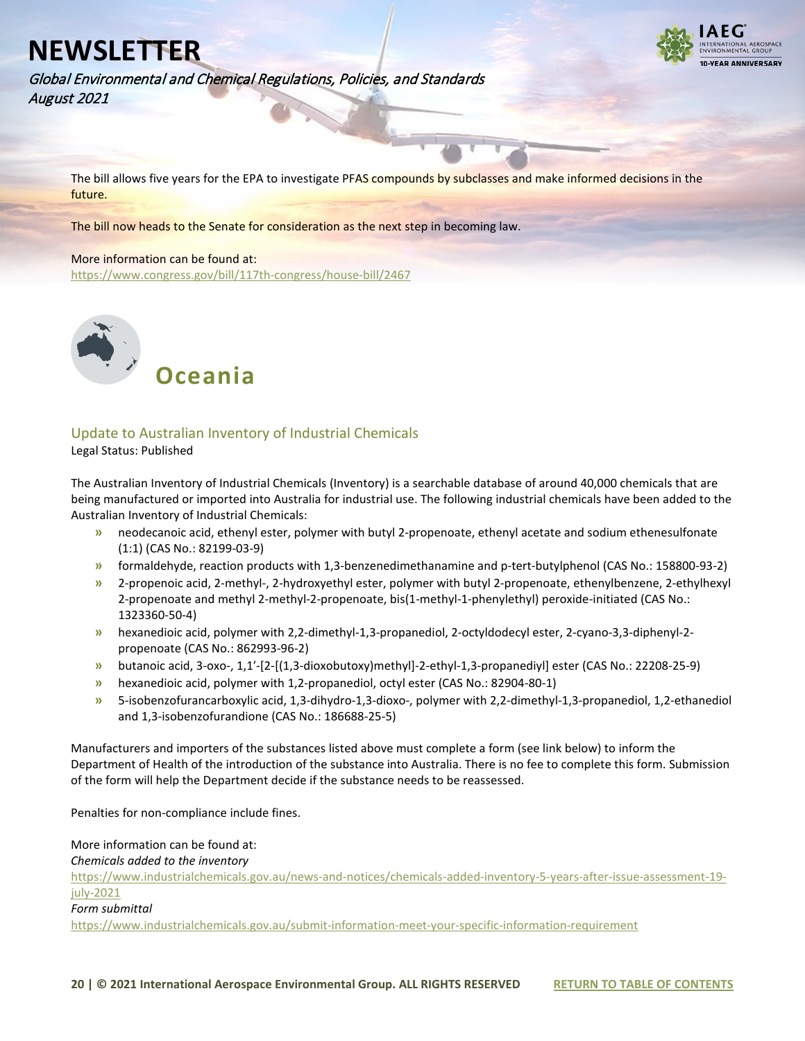

Global Environmental and Chemical Regulations, Policies, and Standards August 2021

The bill allows five years for the EPA to investigate PFAS compounds by subclasses and make informed decisions in the future.

The bill now heads to the Senate for consideration as the next step in becoming law.

#### More information can be found at:

<https://www.congress.gov/bill/117th-congress/house-bill/2467>

<span id="page-19-0"></span>

#### <span id="page-19-1"></span>Update to Australian Inventory of Industrial Chemicals Legal Status: Published

The Australian Inventory of Industrial Chemicals (Inventory) is a searchable database of around 40,000 chemicals that are being manufactured or imported into Australia for industrial use. The following industrial chemicals have been added to the Australian Inventory of Industrial Chemicals:

- **»** neodecanoic acid, ethenyl ester, polymer with butyl 2-propenoate, ethenyl acetate and sodium ethenesulfonate (1:1) (CAS No.: 82199-03-9)
- **»** formaldehyde, reaction products with 1,3-benzenedimethanamine and p-tert-butylphenol (CAS No.: 158800-93-2)
- **»** 2-propenoic acid, 2-methyl-, 2-hydroxyethyl ester, polymer with butyl 2-propenoate, ethenylbenzene, 2-ethylhexyl 2-propenoate and methyl 2-methyl-2-propenoate, bis(1-methyl-1-phenylethyl) peroxide-initiated (CAS No.: 1323360-50-4)
- **»** hexanedioic acid, polymer with 2,2-dimethyl-1,3-propanediol, 2-octyldodecyl ester, 2-cyano-3,3-diphenyl-2 propenoate (CAS No.: 862993-96-2)
- **»** butanoic acid, 3-oxo-, 1,1′-[2-[(1,3-dioxobutoxy)methyl]-2-ethyl-1,3-propanediyl] ester (CAS No.: 22208-25-9)
- **»** hexanedioic acid, polymer with 1,2-propanediol, octyl ester (CAS No.: 82904-80-1)
- **»** 5-isobenzofurancarboxylic acid, 1,3-dihydro-1,3-dioxo-, polymer with 2,2-dimethyl-1,3-propanediol, 1,2-ethanediol and 1,3-isobenzofurandione (CAS No.: 186688-25-5)

Manufacturers and importers of the substances listed above must complete a form (see link below) to inform the Department of Health of the introduction of the substance into Australia. There is no fee to complete this form. Submission of the form will help the Department decide if the substance needs to be reassessed.

Penalties for non-compliance include fines.

More information can be found at:

*Chemicals added to the inventory*

[https://www.industrialchemicals.gov.au/news-and-notices/chemicals-added-inventory-5-years-after-issue-assessment-19](https://www.industrialchemicals.gov.au/news-and-notices/chemicals-added-inventory-5-years-after-issue-assessment-19-july-2021) [july-2021](https://www.industrialchemicals.gov.au/news-and-notices/chemicals-added-inventory-5-years-after-issue-assessment-19-july-2021)

*Form submittal*

<https://www.industrialchemicals.gov.au/submit-information-meet-your-specific-information-requirement>